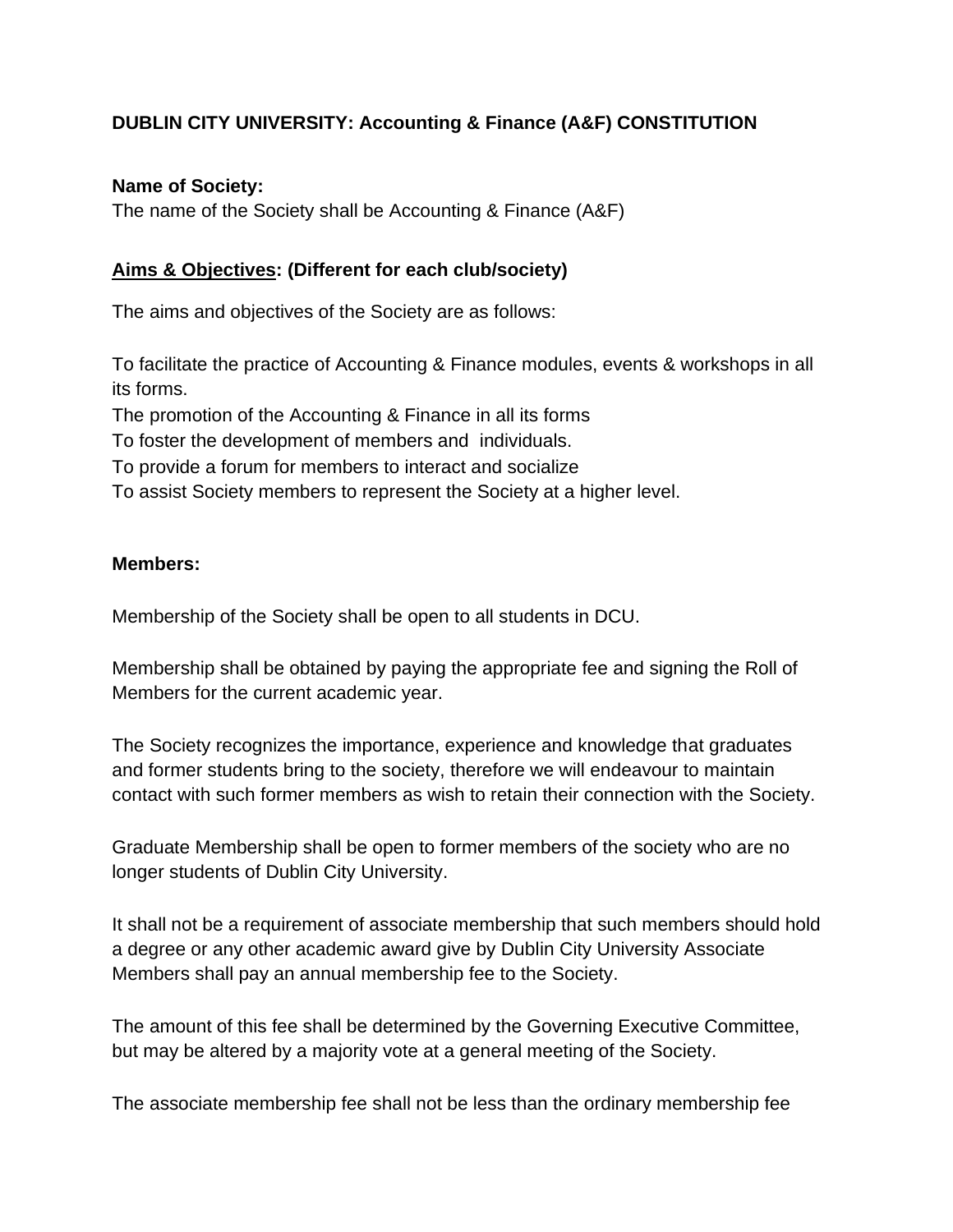# **DUBLIN CITY UNIVERSITY: Accounting & Finance (A&F) CONSTITUTION**

#### **Name of Society:**

The name of the Society shall be Accounting & Finance (A&F)

#### **Aims & Objectives: (Different for each club/society)**

The aims and objectives of the Society are as follows:

To facilitate the practice of Accounting & Finance modules, events & workshops in all its forms.

The promotion of the Accounting & Finance in all its forms

To foster the development of members and individuals.

To provide a forum for members to interact and socialize

To assist Society members to represent the Society at a higher level.

#### **Members:**

Membership of the Society shall be open to all students in DCU.

Membership shall be obtained by paying the appropriate fee and signing the Roll of Members for the current academic year.

The Society recognizes the importance, experience and knowledge that graduates and former students bring to the society, therefore we will endeavour to maintain contact with such former members as wish to retain their connection with the Society.

Graduate Membership shall be open to former members of the society who are no longer students of Dublin City University.

It shall not be a requirement of associate membership that such members should hold a degree or any other academic award give by Dublin City University Associate Members shall pay an annual membership fee to the Society.

The amount of this fee shall be determined by the Governing Executive Committee, but may be altered by a majority vote at a general meeting of the Society.

The associate membership fee shall not be less than the ordinary membership fee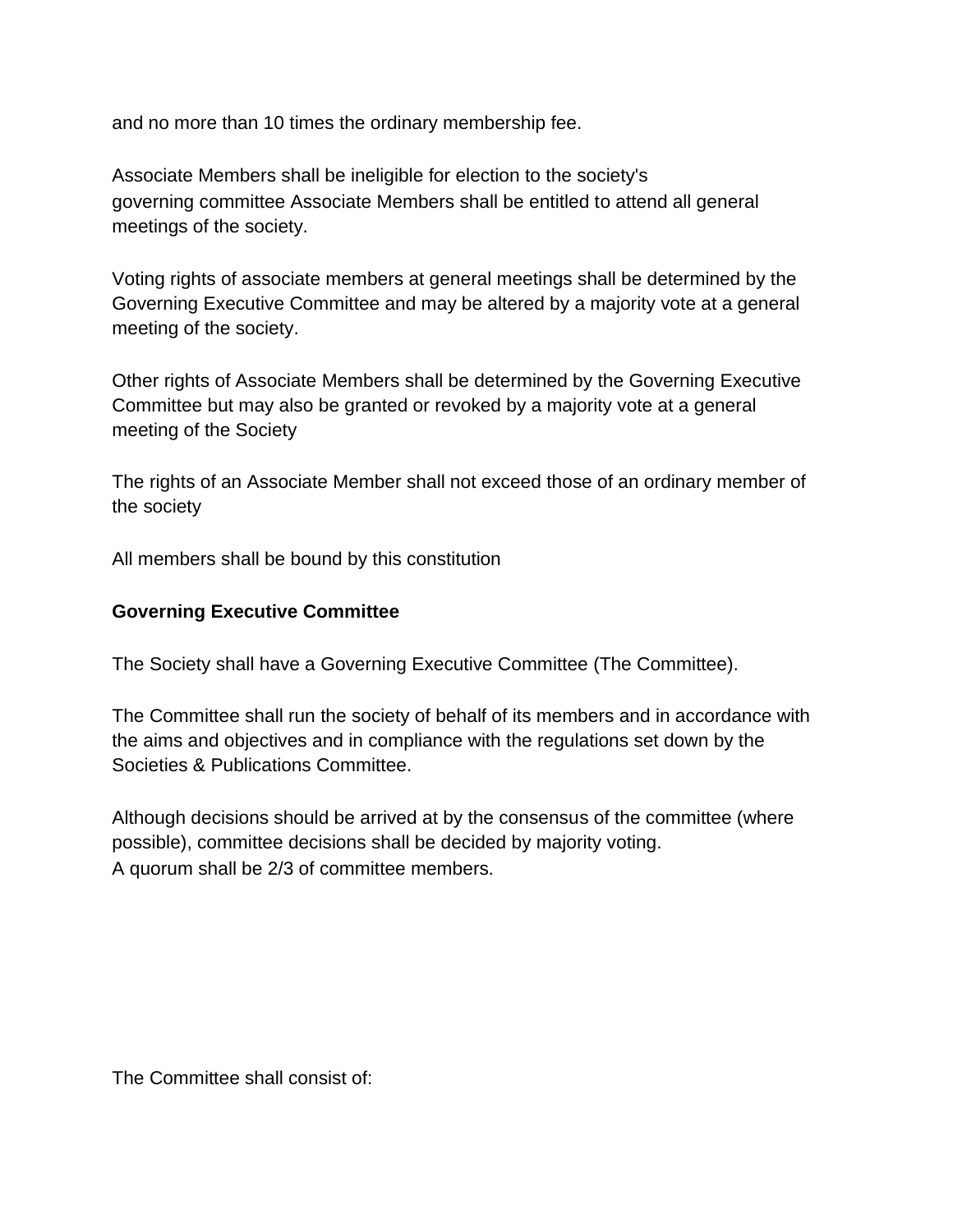and no more than 10 times the ordinary membership fee.

Associate Members shall be ineligible for election to the society's governing committee Associate Members shall be entitled to attend all general meetings of the society.

Voting rights of associate members at general meetings shall be determined by the Governing Executive Committee and may be altered by a majority vote at a general meeting of the society.

Other rights of Associate Members shall be determined by the Governing Executive Committee but may also be granted or revoked by a majority vote at a general meeting of the Society

The rights of an Associate Member shall not exceed those of an ordinary member of the society

All members shall be bound by this constitution

#### **Governing Executive Committee**

The Society shall have a Governing Executive Committee (The Committee).

The Committee shall run the society of behalf of its members and in accordance with the aims and objectives and in compliance with the regulations set down by the Societies & Publications Committee.

Although decisions should be arrived at by the consensus of the committee (where possible), committee decisions shall be decided by majority voting. A quorum shall be 2/3 of committee members.

The Committee shall consist of: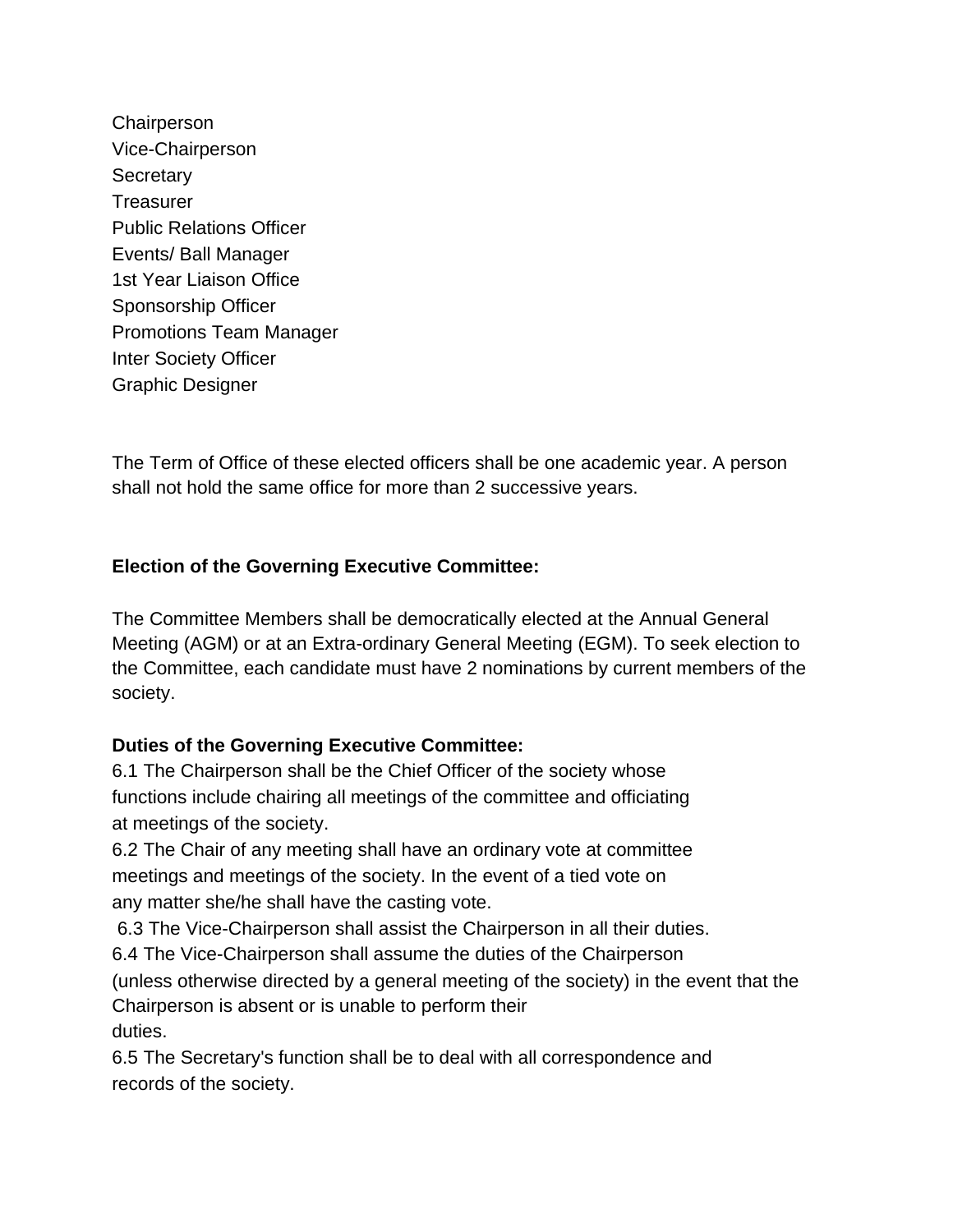**Chairperson** Vice-Chairperson **Secretary Treasurer** Public Relations Officer Events/ Ball Manager 1st Year Liaison Office Sponsorship Officer Promotions Team Manager Inter Society Officer Graphic Designer

The Term of Office of these elected officers shall be one academic year. A person shall not hold the same office for more than 2 successive years.

## **Election of the Governing Executive Committee:**

The Committee Members shall be democratically elected at the Annual General Meeting (AGM) or at an Extra-ordinary General Meeting (EGM). To seek election to the Committee, each candidate must have 2 nominations by current members of the society.

### **Duties of the Governing Executive Committee:**

6.1 The Chairperson shall be the Chief Officer of the society whose functions include chairing all meetings of the committee and officiating at meetings of the society.

6.2 The Chair of any meeting shall have an ordinary vote at committee meetings and meetings of the society. In the event of a tied vote on any matter she/he shall have the casting vote.

6.3 The Vice-Chairperson shall assist the Chairperson in all their duties.

6.4 The Vice-Chairperson shall assume the duties of the Chairperson (unless otherwise directed by a general meeting of the society) in the event that the Chairperson is absent or is unable to perform their duties.

6.5 The Secretary's function shall be to deal with all correspondence and records of the society.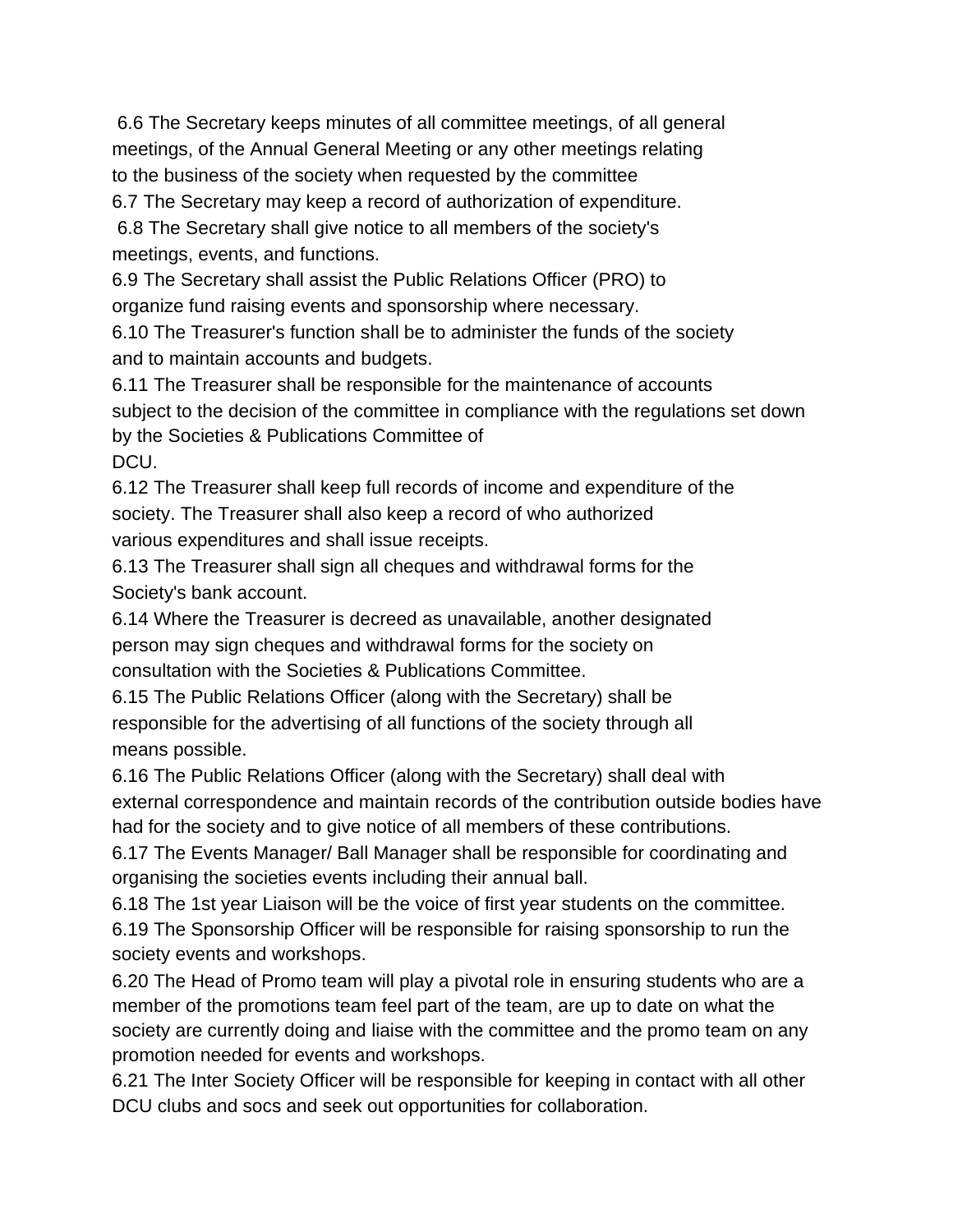6.6 The Secretary keeps minutes of all committee meetings, of all general meetings, of the Annual General Meeting or any other meetings relating to the business of the society when requested by the committee

6.7 The Secretary may keep a record of authorization of expenditure.

6.8 The Secretary shall give notice to all members of the society's meetings, events, and functions.

6.9 The Secretary shall assist the Public Relations Officer (PRO) to organize fund raising events and sponsorship where necessary.

6.10 The Treasurer's function shall be to administer the funds of the society and to maintain accounts and budgets.

6.11 The Treasurer shall be responsible for the maintenance of accounts subject to the decision of the committee in compliance with the regulations set down by the Societies & Publications Committee of DCU.

6.12 The Treasurer shall keep full records of income and expenditure of the society. The Treasurer shall also keep a record of who authorized various expenditures and shall issue receipts.

6.13 The Treasurer shall sign all cheques and withdrawal forms for the Society's bank account.

6.14 Where the Treasurer is decreed as unavailable, another designated person may sign cheques and withdrawal forms for the society on consultation with the Societies & Publications Committee.

6.15 The Public Relations Officer (along with the Secretary) shall be responsible for the advertising of all functions of the society through all means possible.

6.16 The Public Relations Officer (along with the Secretary) shall deal with external correspondence and maintain records of the contribution outside bodies have had for the society and to give notice of all members of these contributions.

6.17 The Events Manager/ Ball Manager shall be responsible for coordinating and organising the societies events including their annual ball.

6.18 The 1st year Liaison will be the voice of first year students on the committee. 6.19 The Sponsorship Officer will be responsible for raising sponsorship to run the society events and workshops.

6.20 The Head of Promo team will play a pivotal role in ensuring students who are a member of the promotions team feel part of the team, are up to date on what the society are currently doing and liaise with the committee and the promo team on any promotion needed for events and workshops.

6.21 The Inter Society Officer will be responsible for keeping in contact with all other DCU clubs and socs and seek out opportunities for collaboration.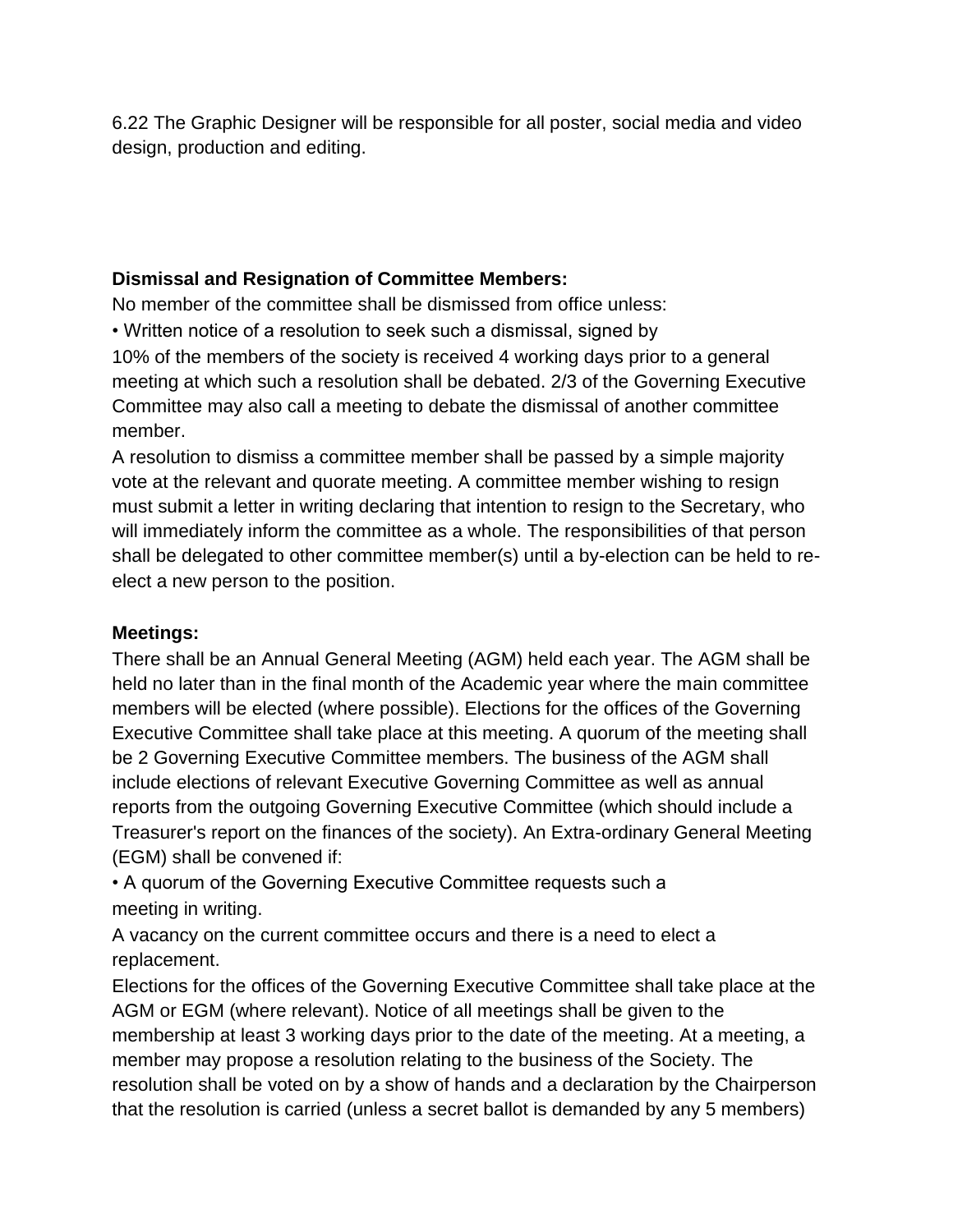6.22 The Graphic Designer will be responsible for all poster, social media and video design, production and editing.

## **Dismissal and Resignation of Committee Members:**

No member of the committee shall be dismissed from office unless:

• Written notice of a resolution to seek such a dismissal, signed by

10% of the members of the society is received 4 working days prior to a general meeting at which such a resolution shall be debated. 2/3 of the Governing Executive Committee may also call a meeting to debate the dismissal of another committee member.

A resolution to dismiss a committee member shall be passed by a simple majority vote at the relevant and quorate meeting. A committee member wishing to resign must submit a letter in writing declaring that intention to resign to the Secretary, who will immediately inform the committee as a whole. The responsibilities of that person shall be delegated to other committee member(s) until a by-election can be held to reelect a new person to the position.

# **Meetings:**

There shall be an Annual General Meeting (AGM) held each year. The AGM shall be held no later than in the final month of the Academic year where the main committee members will be elected (where possible). Elections for the offices of the Governing Executive Committee shall take place at this meeting. A quorum of the meeting shall be 2 Governing Executive Committee members. The business of the AGM shall include elections of relevant Executive Governing Committee as well as annual reports from the outgoing Governing Executive Committee (which should include a Treasurer's report on the finances of the society). An Extra-ordinary General Meeting (EGM) shall be convened if:

• A quorum of the Governing Executive Committee requests such a meeting in writing.

A vacancy on the current committee occurs and there is a need to elect a replacement.

Elections for the offices of the Governing Executive Committee shall take place at the AGM or EGM (where relevant). Notice of all meetings shall be given to the membership at least 3 working days prior to the date of the meeting. At a meeting, a member may propose a resolution relating to the business of the Society. The resolution shall be voted on by a show of hands and a declaration by the Chairperson that the resolution is carried (unless a secret ballot is demanded by any 5 members)